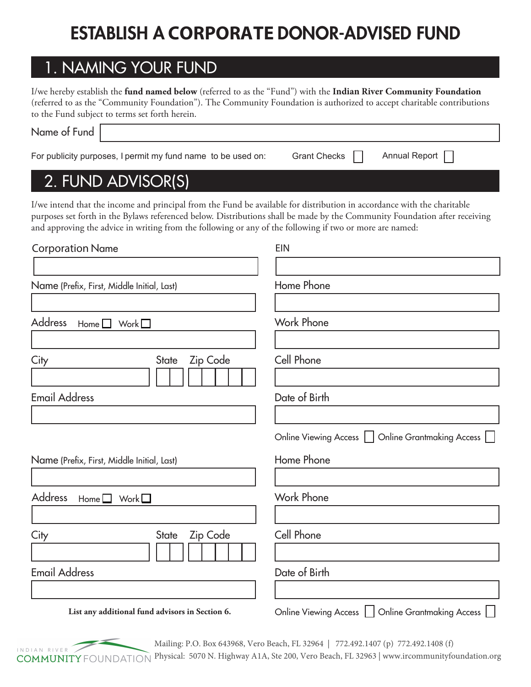# ESTABLISH A **CORPORATE** DONOR-ADVISED FUND

### 1. NAMING YOUR FUND

I/we hereby establish the **fund named below** (referred to as the "Fund") with the **Indian River Community Foundation** (referred to as the "Community Foundation"). The Community Foundation is authorized to accept charitable contributions to the Fund subject to terms set forth herein.

| Name of Fund |                                                              |                     |               |  |
|--------------|--------------------------------------------------------------|---------------------|---------------|--|
|              | For publicity purposes, I permit my fund name to be used on: | <b>Grant Checks</b> | Annual Report |  |

### 2. FUND ADVISOR(S)

I/we intend that the income and principal from the Fund be available for distribution in accordance with the charitable purposes set forth in the Bylaws referenced below. Distributions shall be made by the Community Foundation after receiving and approving the advice in writing from the following or any of the following if two or more are named:

| <b>Corporation Name</b>                            | <b>EIN</b>                                                                |  |  |
|----------------------------------------------------|---------------------------------------------------------------------------|--|--|
| Name (Prefix, First, Middle Initial, Last)         | Home Phone                                                                |  |  |
| <b>Address</b><br>Work $\square$<br>Home $\square$ | <b>Work Phone</b>                                                         |  |  |
| Zip Code<br>State<br>City                          | Cell Phone                                                                |  |  |
| <b>Email Address</b>                               | Date of Birth                                                             |  |  |
|                                                    | Online Grantmaking Access<br><b>Online Viewing Access</b><br>$\mathbf{1}$ |  |  |
| Name (Prefix, First, Middle Initial, Last)         | Home Phone                                                                |  |  |
| <b>Address</b><br>Home $\square$<br>Work $\square$ | <b>Work Phone</b>                                                         |  |  |
| Zip Code<br>City<br><b>State</b>                   | Cell Phone                                                                |  |  |
| <b>Email Address</b>                               | Date of Birth                                                             |  |  |
| List any additional fund advisors in Section 6.    | Online Grantmaking Access  <br>Online Viewing Access                      |  |  |



Mailing: P.O. Box 643968, Vero Beach, FL 32964 | 772.492.1407 (p) 772.492.1408 (f) Physical: 5070 N. Highway A1A, Ste 200, Vero Beach, FL 32963 | www.ircommunityfoundation.org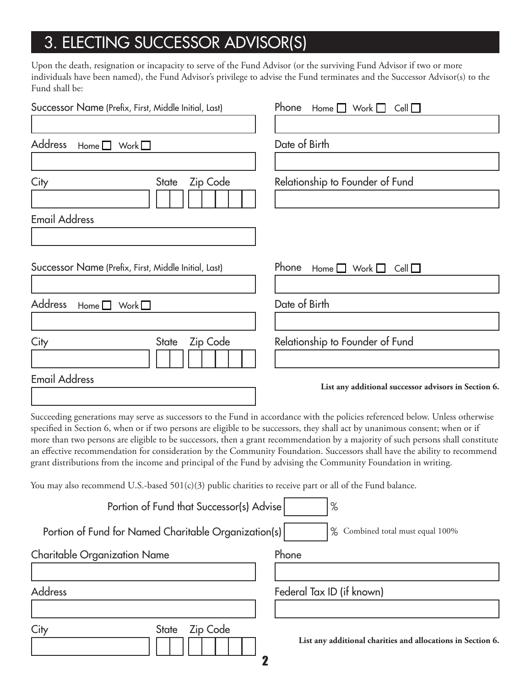# 3. ELECTING SUCCESSOR ADVISOR(S)

Upon the death, resignation or incapacity to serve of the Fund Advisor (or the surviving Fund Advisor if two or more individuals have been named), the Fund Advisor's privilege to advise the Fund terminates and the Successor Advisor(s) to the Fund shall be:

| Successor Name (Prefix, First, Middle Initial, Last)                                                                                                                                                                                                                                                                                                                                                                                                                                                                                                                                                                                             | Phone<br>Home $\Box$ Work $\Box$<br>Cell                    |
|--------------------------------------------------------------------------------------------------------------------------------------------------------------------------------------------------------------------------------------------------------------------------------------------------------------------------------------------------------------------------------------------------------------------------------------------------------------------------------------------------------------------------------------------------------------------------------------------------------------------------------------------------|-------------------------------------------------------------|
|                                                                                                                                                                                                                                                                                                                                                                                                                                                                                                                                                                                                                                                  |                                                             |
| <b>Address</b><br>Work $\square$<br>Home $\Box$                                                                                                                                                                                                                                                                                                                                                                                                                                                                                                                                                                                                  | Date of Birth                                               |
|                                                                                                                                                                                                                                                                                                                                                                                                                                                                                                                                                                                                                                                  |                                                             |
| City<br>Zip Code<br><b>State</b>                                                                                                                                                                                                                                                                                                                                                                                                                                                                                                                                                                                                                 | Relationship to Founder of Fund                             |
|                                                                                                                                                                                                                                                                                                                                                                                                                                                                                                                                                                                                                                                  |                                                             |
| <b>Email Address</b>                                                                                                                                                                                                                                                                                                                                                                                                                                                                                                                                                                                                                             |                                                             |
|                                                                                                                                                                                                                                                                                                                                                                                                                                                                                                                                                                                                                                                  |                                                             |
|                                                                                                                                                                                                                                                                                                                                                                                                                                                                                                                                                                                                                                                  |                                                             |
| Successor Name (Prefix, First, Middle Initial, Last)                                                                                                                                                                                                                                                                                                                                                                                                                                                                                                                                                                                             | Phone<br>Work $\square$<br>Cell<br>Home $\Box$              |
|                                                                                                                                                                                                                                                                                                                                                                                                                                                                                                                                                                                                                                                  |                                                             |
| <b>Address</b><br>Work $\square$<br>Home $\Box$                                                                                                                                                                                                                                                                                                                                                                                                                                                                                                                                                                                                  | Date of Birth                                               |
|                                                                                                                                                                                                                                                                                                                                                                                                                                                                                                                                                                                                                                                  |                                                             |
| Zip Code<br>City<br><b>State</b>                                                                                                                                                                                                                                                                                                                                                                                                                                                                                                                                                                                                                 | Relationship to Founder of Fund                             |
|                                                                                                                                                                                                                                                                                                                                                                                                                                                                                                                                                                                                                                                  |                                                             |
| <b>Email Address</b>                                                                                                                                                                                                                                                                                                                                                                                                                                                                                                                                                                                                                             | List any additional successor advisors in Section 6.        |
|                                                                                                                                                                                                                                                                                                                                                                                                                                                                                                                                                                                                                                                  |                                                             |
| Succeeding generations may serve as successors to the Fund in accordance with the policies referenced below. Unless otherwise<br>specified in Section 6, when or if two persons are eligible to be successors, they shall act by unanimous consent; when or if<br>more than two persons are eligible to be successors, then a grant recommendation by a majority of such persons shall constitute<br>an effective recommendation for consideration by the Community Foundation. Successors shall have the ability to recommend<br>grant distributions from the income and principal of the Fund by advising the Community Foundation in writing. |                                                             |
| You may also recommend U.S.-based 501(c)(3) public charities to receive part or all of the Fund balance.                                                                                                                                                                                                                                                                                                                                                                                                                                                                                                                                         |                                                             |
| Portion of Fund that Successor(s) Advise                                                                                                                                                                                                                                                                                                                                                                                                                                                                                                                                                                                                         | $\%$                                                        |
| Portion of Fund for Named Charitable Organization(s)                                                                                                                                                                                                                                                                                                                                                                                                                                                                                                                                                                                             | % Combined total must equal 100%                            |
| <b>Charitable Organization Name</b>                                                                                                                                                                                                                                                                                                                                                                                                                                                                                                                                                                                                              | Phone                                                       |
|                                                                                                                                                                                                                                                                                                                                                                                                                                                                                                                                                                                                                                                  |                                                             |
| Address                                                                                                                                                                                                                                                                                                                                                                                                                                                                                                                                                                                                                                          | Federal Tax ID (if known)                                   |
|                                                                                                                                                                                                                                                                                                                                                                                                                                                                                                                                                                                                                                                  |                                                             |
| Zip Code<br><b>State</b><br>City<br>$\mathbf 2$                                                                                                                                                                                                                                                                                                                                                                                                                                                                                                                                                                                                  | List any additional charities and allocations in Section 6. |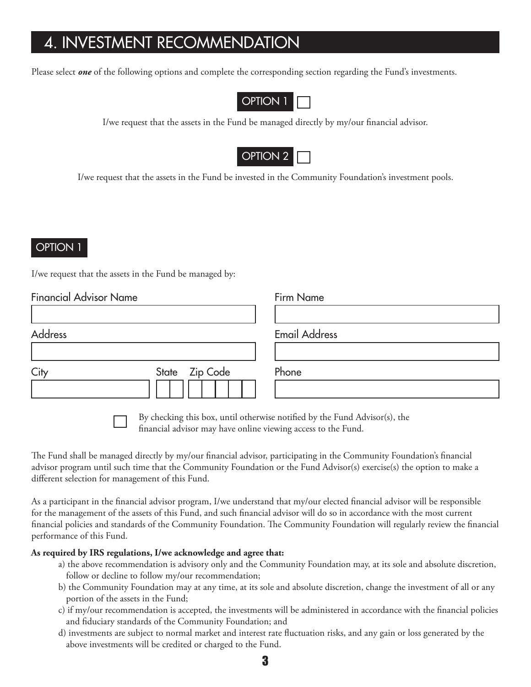## 4. INVESTMENT RECOMMENDATION

Please select **one** of the following options and complete the corresponding section regarding the Fund's investments.



I/we request that the assets in the Fund be managed directly by my/our financial advisor.



I/we request that the assets in the Fund be invested in the Community Foundation's investment pools.

### OPTION 1

I/we request that the assets in the Fund be managed by:

| <b>Financial Advisor Name</b> | Firm Name            |
|-------------------------------|----------------------|
|                               |                      |
| Address                       | <b>Email Address</b> |
|                               |                      |
| State Zip Code<br>City        | Phone                |
|                               |                      |

By checking this box, until otherwise notified by the Fund Advisor(s), the financial advisor may have online viewing access to the Fund.

The Fund shall be managed directly by my/our financial advisor, participating in the Community Foundation's financial advisor program until such time that the Community Foundation or the Fund Advisor(s) exercise(s) the option to make a different selection for management of this Fund.

As a participant in the financial advisor program, I/we understand that my/our elected financial advisor will be responsible for the management of the assets of this Fund, and such financial advisor will do so in accordance with the most current financial policies and standards of the Community Foundation. The Community Foundation will regularly review the financial performance of this Fund.

### **As required by IRS regulations, I/we acknowledge and agree that:**

- a) the above recommendation is advisory only and the Community Foundation may, at its sole and absolute discretion, follow or decline to follow my/our recommendation;
- b) the Community Foundation may at any time, at its sole and absolute discretion, change the investment of all or any portion of the assets in the Fund;
- c) if my/our recommendation is accepted, the investments will be administered in accordance with the financial policies and fiduciary standards of the Community Foundation; and
- d) investments are subject to normal market and interest rate fluctuation risks, and any gain or loss generated by the above investments will be credited or charged to the Fund.

3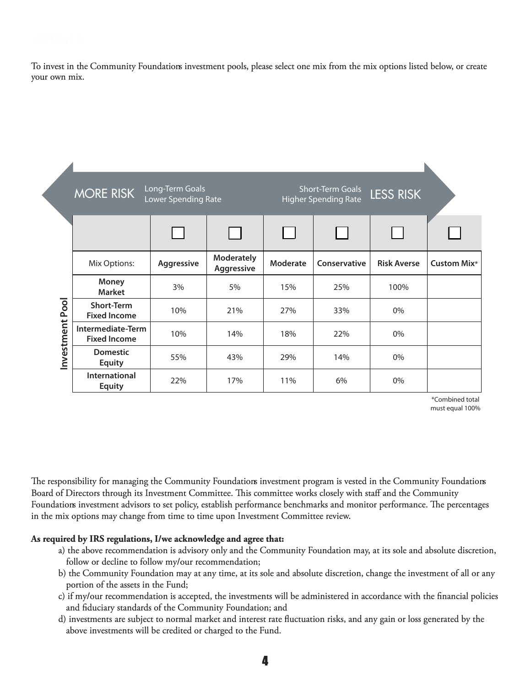To invest in the Community Foundations investment pools, please select one mix from the mix options listed below, or create your own mix.

| Long-Term Goals<br><b>MORE RISK</b><br>Lower Spending Rate |                                          |            | <b>Short-Term Goals</b><br>LESS RISK<br><b>Higher Spending Rate</b> |              |              |                    |                    |
|------------------------------------------------------------|------------------------------------------|------------|---------------------------------------------------------------------|--------------|--------------|--------------------|--------------------|
|                                                            |                                          |            |                                                                     | $\mathbf{L}$ |              |                    |                    |
|                                                            | Mix Options:                             | Aggressive | <b>Moderately</b><br>Aggressive                                     | Moderate     | Conservative | <b>Risk Averse</b> | <b>Custom Mix*</b> |
|                                                            | <b>Money</b><br><b>Market</b>            | 3%         | 5%                                                                  | 15%          | 25%          | 100%               |                    |
| Pool<br>Investment                                         | <b>Short-Term</b><br><b>Fixed Income</b> | 10%        | 21%                                                                 | 27%          | 33%          | 0%                 |                    |
|                                                            | Intermediate-Term<br><b>Fixed Income</b> | 10%        | 14%                                                                 | 18%          | 22%          | $0\%$              |                    |
|                                                            | <b>Domestic</b><br><b>Equity</b>         | 55%        | 43%                                                                 | 29%          | 14%          | 0%                 |                    |
|                                                            | International<br><b>Equity</b>           | 22%        | 17%                                                                 | 11%          | 6%           | 0%                 |                    |

\*Combined total must equal 100%

The responsibility for managing the Community Foundations investment program is vested in the Community Foundations Board of Directors through its Investment Committee. This committee works closely with staff and the Community Foundations investment advisors to set policy, establish performance benchmarks and monitor performance. The percentages in the mix options may change from time to time upon Investment Committee review.

### *As* **required by IRS regulations, I/we acknowledge and agree that:**

- a) the above recommendation is advisory only and the Community Foundation may, at its sole and absolute discretion, follow or decline to follow my/our recommendation;
- b) the Community Foundation may at any time, at its sole and absolute discretion, change the investment of all or any portion of the assets in the Fund;
- c) if my/our recommendation is accepted, the investments will be administered in accordance with the financial policies and fiduciary standards of the Community Foundation; and
- d) investments are subject to normal market and interest rate fluctuation risks, and any gain or loss generated by the above investments will be credited or charged to the Fund.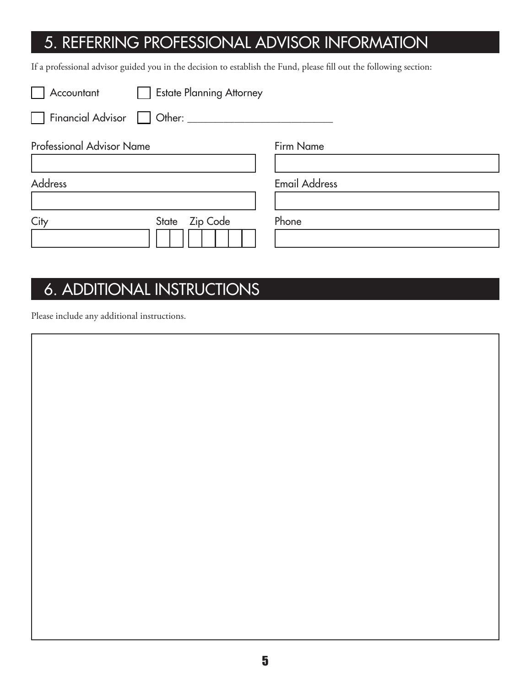## 5. REFERRING PROFESSIONAL ADVISOR INFORMATION

If a professional advisor guided you in the decision to establish the Fund, please fill out the following section:

| Accountant <b>Set Estate Planning Attorney</b> |                      |
|------------------------------------------------|----------------------|
| Financial Advisor   Other: ______              |                      |
| <b>Professional Advisor Name</b>               | Firm Name            |
| <b>Address</b>                                 | <b>Email Address</b> |
| <b>Zip Code</b><br>City<br>State               | Phone                |

## **6. ADDITIONAL INSTRUCTIONS**

Please include any additional instructions.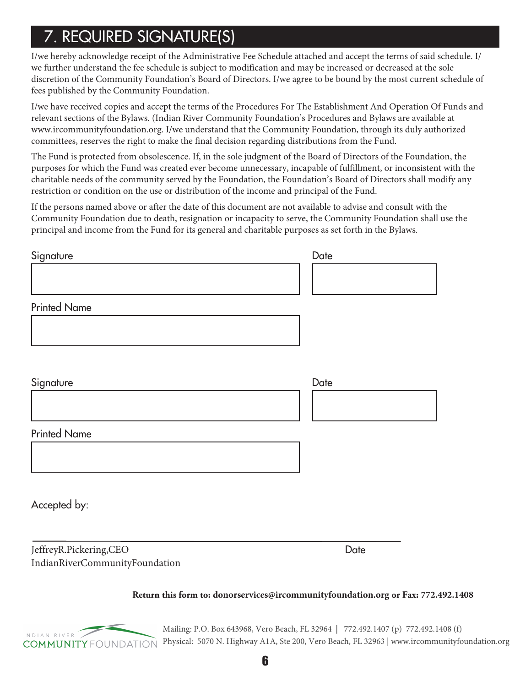# i7. REQUIRED SIGNATURE(S)

I/we hereby acknowledge receipt of the Administrative Fee Schedule attached and accept the terms of said schedule. I/ we further understand the fee schedule is subject to modification and may be increased or decreased at the sole discretion of the Community Foundation's Board of Directors. I/we agree to be bound by the most current schedule of fees published by the Community Foundation.

I/we have received copies and accept the terms of the Procedures For The Establishment And Operation Of Funds and relevant sections of the Bylaws. (Indian River Community Foundation's Procedures and Bylaws are available at www.ircommunityfoundation.org. I/we understand that the Community Foundation, through its duly authorized committees, reserves the right to make the final decision regarding distributions from the Fund.

The Fund is protected from obsolescence. If, in the sole judgment of the Board of Directors of the Foundation, the purposes for which the Fund was created ever become unnecessary, incapable of fulfillment, or inconsistent with the charitable needs of the community served by the Foundation, the Foundation's Board of Directors shall modify any restriction or condition on the use or distribution of the income and principal of the Fund.

If the persons named above or after the date of this document are not available to advise and consult with the Community Foundation due to death, resignation or incapacity to serve, the Community Foundation shall use the principal and income from the Fund for its general and charitable purposes as set forth in the Bylaws.

| Signature           | Date |
|---------------------|------|
|                     |      |
|                     |      |
| <b>Printed Name</b> |      |
|                     |      |
|                     |      |
| Signature           | Date |
|                     |      |
| <b>Printed Name</b> |      |
|                     |      |
|                     |      |
| Accepted by:        |      |

Jeffrey R. Pickering, CEO Indian River Community Foundation

**Date** 

### **Return this form to: donorservices@ircommunityfoundation.org or Fax: 772.492.1408**



Mailing: P.O. Box 643968, Vero Beach, FL 32964 | 772.492.1407 (p) 772.492.1408 (f) Physical: 5070 N. Highway A1A, Ste 200, Vero Beach, FL 32963 | www.ircommunityfoundation.org